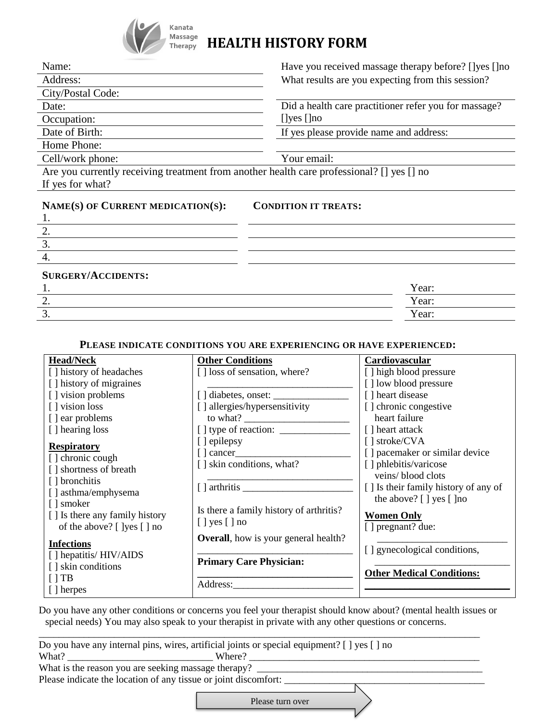

# **Massage HEALTH HISTORY FORM**

| Name:                                                                                     | Have you received massage therapy before? []yes []no  |  |
|-------------------------------------------------------------------------------------------|-------------------------------------------------------|--|
| Address:                                                                                  | What results are you expecting from this session?     |  |
| City/Postal Code:                                                                         |                                                       |  |
| Date:                                                                                     | Did a health care practitioner refer you for massage? |  |
| Occupation:                                                                               | $[$ ]yes $[$ ]no                                      |  |
| Date of Birth:                                                                            | If yes please provide name and address:               |  |
| Home Phone:                                                                               |                                                       |  |
| Cell/work phone:                                                                          | Your email:                                           |  |
| Are you currently receiving treatment from another health care professional? [] yes [] no |                                                       |  |
| If yes for what?                                                                          |                                                       |  |
| NAME(S) OF CURRENT MEDICATION(S):                                                         | <b>CONDITION IT TREATS:</b>                           |  |
| 2.                                                                                        |                                                       |  |
| 3.                                                                                        |                                                       |  |
| 4.                                                                                        |                                                       |  |

**SURGERY/ACCIDENTS:**

| DUNGENI/INCCIDENTIS.<br>. . | Year: |
|-----------------------------|-------|
| <u>.</u>                    | Year: |
| <u>.</u>                    | Year: |

#### **PLEASE INDICATE CONDITIONS YOU ARE EXPERIENCING OR HAVE EXPERIENCED:**

| <b>Head/Neck</b>               | <b>Other Conditions</b>                                               | Cardiovascular                                                |
|--------------------------------|-----------------------------------------------------------------------|---------------------------------------------------------------|
| [] history of headaches        | [] loss of sensation, where?                                          | [] high blood pressure                                        |
| [] history of migraines        |                                                                       | [] low blood pressure                                         |
| [] vision problems             | $[ ]$ diabetes, onset: $\_\_\_\_\_\_\_\_\_\_\_\_\_\_\_\_\_\_\_\_\_ \$ | [] heart disease                                              |
| [] vision loss                 | [] allergies/hypersensitivity                                         |                                                               |
|                                |                                                                       | [] chronic congestive                                         |
| [] ear problems                |                                                                       | heart failure                                                 |
| [] hearing loss                |                                                                       | [] heart attack                                               |
| <b>Respiratory</b>             | [ ] epilepsy                                                          | [] stroke/CVA                                                 |
| [] chronic cough               | $\lceil$ cancer                                                       | [] pacemaker or similar device                                |
| [] shortness of breath         | [] skin conditions, what?                                             | [] phlebitis/varicose                                         |
| [] bronchitis                  |                                                                       | veins/blood clots                                             |
|                                |                                                                       | [] Is their family history of any of                          |
| [] asthma/emphysema            |                                                                       | the above? $\lceil \cdot \rceil$ yes $\lceil \cdot \rceil$ no |
| [ ] smoker                     | Is there a family history of arthritis?                               |                                                               |
| [] Is there any family history | $[ ]$ yes $[ ]$ no                                                    | <b>Women Only</b>                                             |
| of the above? [ ]yes [ ] no    |                                                                       | [ ] pregnant? due:                                            |
| <b>Infections</b>              | <b>Overall</b> , how is your general health?                          |                                                               |
| [] hepatitis/ HIV/AIDS         |                                                                       | [ ] gynecological conditions,                                 |
| [] skin conditions             | <b>Primary Care Physician:</b>                                        |                                                               |
| $\Box$ TB                      |                                                                       | <b>Other Medical Conditions:</b>                              |
|                                | Address:                                                              |                                                               |
| [ ] herpes                     |                                                                       |                                                               |

Do you have any other conditions or concerns you feel your therapist should know about? (mental health issues or special needs) You may also speak to your therapist in private with any other questions or concerns.

\_\_\_\_\_\_\_\_\_\_\_\_\_\_\_\_\_\_\_\_\_\_\_\_\_\_\_\_\_\_\_\_\_\_\_\_\_\_\_\_\_\_\_\_\_\_\_\_\_\_\_\_\_\_\_\_\_\_\_\_\_\_\_\_\_\_\_\_\_\_\_\_\_\_\_\_\_\_\_\_\_\_\_\_\_\_\_\_

|                                                     | Do you have any internal pins, wires, artificial joints or special equipment? [] yes [] no |
|-----------------------------------------------------|--------------------------------------------------------------------------------------------|
| What?                                               | Where?                                                                                     |
| What is the reason you are seeking massage therapy? |                                                                                            |

Please indicate the location of any tissue or joint discomfort: \_\_\_\_\_\_\_\_\_\_\_\_\_\_\_\_\_\_\_\_\_\_\_\_\_\_\_\_\_\_\_\_\_\_\_\_\_\_\_\_

Please turn over